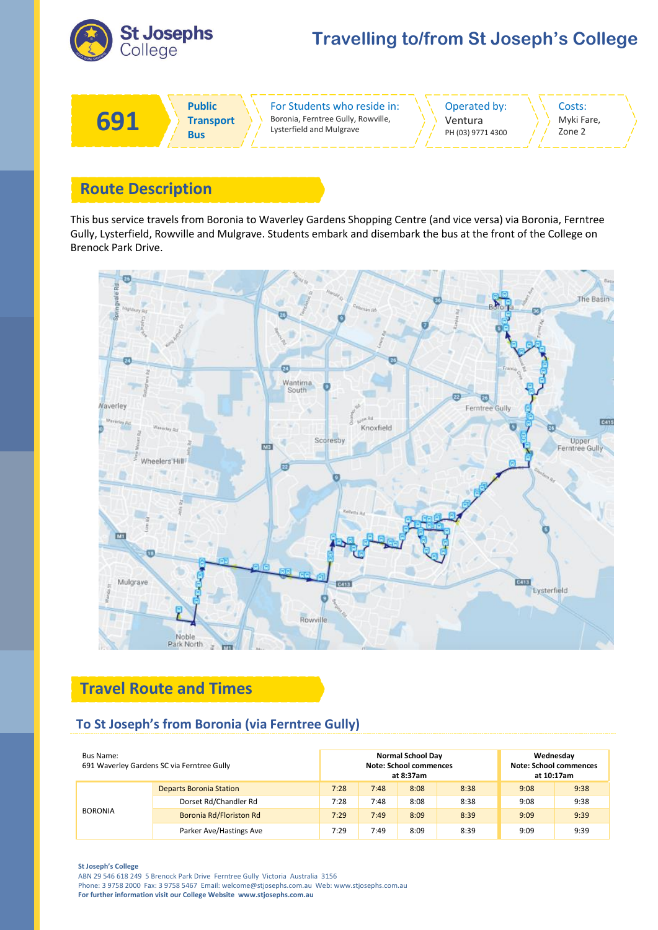

# **Travelling to/from St Joseph's College**



## **Route Description**

This bus service travels from Boronia to Waverley Gardens Shopping Centre (and vice versa) via Boronia, Ferntree Gully, Lysterfield, Rowville and Mulgrave. Students embark and disembark the bus at the front of the College on Brenock Park Drive.



# **Travel Route and Times**

### **To St Joseph's from Boronia (via Ferntree Gully)**

| Bus Name:<br>691 Waverley Gardens SC via Ferntree Gully |                                | <b>Normal School Day</b><br><b>Note: School commences</b><br>at 8:37am |      |      |      | Wednesday<br><b>Note: School commences</b><br>at 10:17am |      |
|---------------------------------------------------------|--------------------------------|------------------------------------------------------------------------|------|------|------|----------------------------------------------------------|------|
| <b>BORONIA</b>                                          | <b>Departs Boronia Station</b> | 7:28                                                                   | 7:48 | 8:08 | 8:38 | 9:08                                                     | 9:38 |
|                                                         | Dorset Rd/Chandler Rd          | 7:28                                                                   | 7:48 | 8:08 | 8:38 | 9:08                                                     | 9:38 |
|                                                         | Boronia Rd/Floriston Rd        | 7:29                                                                   | 7:49 | 8:09 | 8:39 | 9:09                                                     | 9:39 |
|                                                         | Parker Ave/Hastings Ave        | 7:29                                                                   | 7:49 | 8:09 | 8:39 | 9:09                                                     | 9:39 |

#### **St Joseph's College**

ABN 29 546 618 249 5 Brenock Park Drive Ferntree Gully Victoria Australia 3156 Phone: 3 9758 2000 Fax: 3 9758 5467 Email: welcome@stjosephs.com.au Web: www.stjosephs.com.au **For further information visit our College Website www.stjosephs.com.au**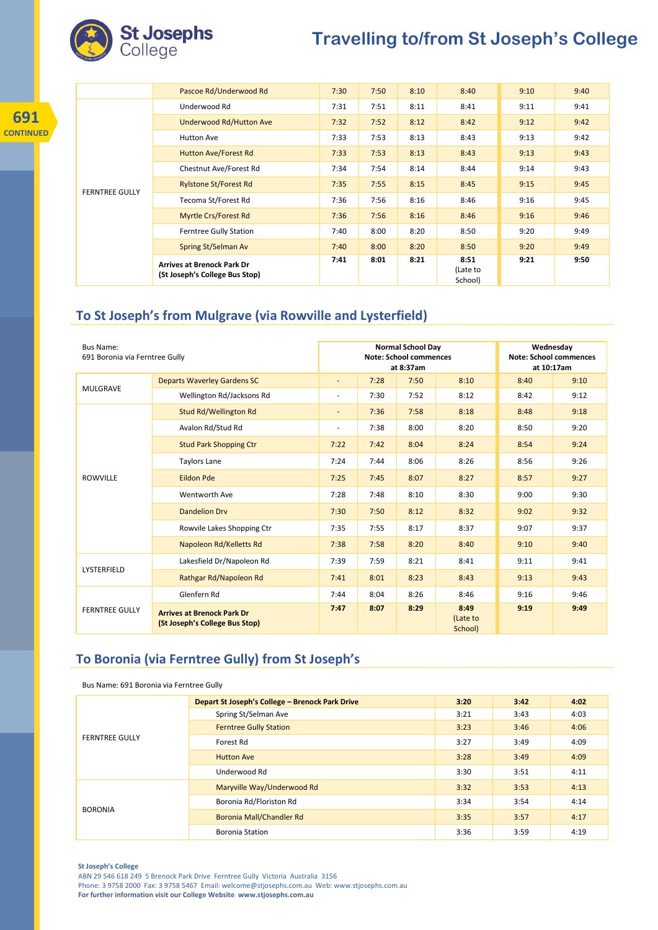

**691 CONTINUED**

# **Travelling to/from St Joseph's College**

|                       | Pascoe Rd/Underwood Rd                                              | 7:30 | 7:50 | 8:10 | 8:40                        | 9:10 | 9:40 |
|-----------------------|---------------------------------------------------------------------|------|------|------|-----------------------------|------|------|
|                       | Underwood Rd                                                        | 7:31 | 7:51 | 8:11 | 8:41                        | 9:11 | 9:41 |
|                       | Underwood Rd/Hutton Ave                                             | 7:32 | 7:52 | 8:12 | 8:42                        | 9:12 | 9:42 |
|                       | <b>Hutton Ave</b>                                                   | 7:33 | 7:53 | 8:13 | 8:43                        | 9:13 | 9:42 |
|                       | <b>Hutton Ave/Forest Rd</b>                                         | 7:33 | 7:53 | 8:13 | 8:43                        | 9:13 | 9:43 |
| <b>FERNTREE GULLY</b> | Chestnut Ave/Forest Rd                                              | 7:34 | 7:54 | 8:14 | 8:44                        | 9:14 | 9:43 |
|                       | <b>Rylstone St/Forest Rd</b>                                        | 7:35 | 7:55 | 8:15 | 8:45                        | 9:15 | 9:45 |
|                       | Tecoma St/Forest Rd                                                 | 7:36 | 7:56 | 8:16 | 8:46                        | 9:16 | 9:45 |
|                       | <b>Myrtle Crs/Forest Rd</b>                                         | 7:36 | 7:56 | 8:16 | 8:46                        | 9:16 | 9:46 |
|                       | Ferntree Gully Station                                              | 7:40 | 8:00 | 8:20 | 8:50                        | 9:20 | 9:49 |
|                       | Spring St/Selman Av                                                 | 7:40 | 8:00 | 8:20 | 8:50                        | 9:20 | 9:49 |
|                       | <b>Arrives at Brenock Park Dr</b><br>(St Joseph's College Bus Stop) | 7:41 | 8:01 | 8:21 | 8:51<br>(Late to<br>School) | 9:21 | 9:50 |

### **To St Joseph's from Mulgrave (via Rowville and Lysterfield)**

| <b>Bus Name:</b><br>691 Boronia via Ferntree Gully |                                                                     | <b>Normal School Day</b><br><b>Note: School commences</b><br>at 8:37am |      |      |                             | Wednesday<br><b>Note: School commences</b><br>at 10:17am |      |
|----------------------------------------------------|---------------------------------------------------------------------|------------------------------------------------------------------------|------|------|-----------------------------|----------------------------------------------------------|------|
| <b>MULGRAVE</b>                                    | <b>Departs Waverley Gardens SC</b>                                  | $\overline{\phantom{a}}$                                               | 7:28 | 7:50 | 8:10                        | 8:40                                                     | 9:10 |
|                                                    | Wellington Rd/Jacksons Rd                                           | $\overline{\phantom{a}}$                                               | 7:30 | 7:52 | 8:12                        | 8:42                                                     | 9:12 |
|                                                    | Stud Rd/Wellington Rd                                               | $\overline{\phantom{a}}$                                               | 7:36 | 7:58 | 8:18                        | 8:48                                                     | 9:18 |
|                                                    | Avalon Rd/Stud Rd                                                   | $\overline{\phantom{a}}$                                               | 7:38 | 8:00 | 8:20                        | 8:50                                                     | 9:20 |
| <b>ROWVILLE</b>                                    | <b>Stud Park Shopping Ctr</b>                                       | 7:22                                                                   | 7:42 | 8:04 | 8:24                        | 8:54                                                     | 9:24 |
|                                                    | <b>Taylors Lane</b>                                                 | 7:24                                                                   | 7:44 | 8:06 | 8:26                        | 8:56                                                     | 9:26 |
|                                                    | <b>Eildon Pde</b>                                                   | 7:25                                                                   | 7:45 | 8:07 | 8:27                        | 8:57                                                     | 9:27 |
|                                                    | Wentworth Ave                                                       | 7:28                                                                   | 7:48 | 8:10 | 8:30                        | 9:00                                                     | 9:30 |
|                                                    | <b>Dandelion Drv</b>                                                | 7:30                                                                   | 7:50 | 8:12 | 8:32                        | 9:02                                                     | 9:32 |
|                                                    | Rowvile Lakes Shopping Ctr                                          | 7:35                                                                   | 7:55 | 8:17 | 8:37                        | 9:07                                                     | 9:37 |
|                                                    | Napoleon Rd/Kelletts Rd                                             | 7:38                                                                   | 7:58 | 8:20 | 8:40                        | 9:10                                                     | 9:40 |
| LYSTERFIELD                                        | Lakesfield Dr/Napoleon Rd                                           | 7:39                                                                   | 7:59 | 8:21 | 8:41                        | 9:11                                                     | 9:41 |
|                                                    | Rathgar Rd/Napoleon Rd                                              | 7:41                                                                   | 8:01 | 8:23 | 8:43                        | 9:13                                                     | 9:43 |
| <b>FERNTREE GULLY</b>                              | Glenfern Rd                                                         | 7:44                                                                   | 8:04 | 8:26 | 8:46                        | 9:16                                                     | 9:46 |
|                                                    | <b>Arrives at Brenock Park Dr</b><br>(St Joseph's College Bus Stop) | 7:47                                                                   | 8:07 | 8:29 | 8:49<br>(Late to<br>School) | 9:19                                                     | 9:49 |

### **To Boronia (via Ferntree Gully) from St Joseph's**

Bus Name: 691 Boronia via Ferntree Gully

| <b>FERNTREE GULLY</b> | Depart St Joseph's College - Brenock Park Drive | 3:20 | 3:42 | 4:02 |
|-----------------------|-------------------------------------------------|------|------|------|
|                       | Spring St/Selman Ave                            | 3:21 | 3:43 | 4:03 |
|                       | <b>Ferntree Gully Station</b>                   | 3:23 | 3:46 | 4:06 |
|                       | Forest Rd                                       | 3:27 | 3:49 | 4:09 |
|                       | <b>Hutton Ave</b>                               | 3:28 | 3:49 | 4:09 |
|                       | Underwood Rd                                    | 3:30 | 3:51 | 4:11 |
|                       | Maryville Way/Underwood Rd                      | 3:32 | 3:53 | 4:13 |
| <b>BORONIA</b>        | Boronia Rd/Floriston Rd                         | 3:34 | 3:54 | 4:14 |
|                       | Boronia Mall/Chandler Rd                        | 3:35 | 3:57 | 4:17 |
|                       | <b>Boronia Station</b>                          | 3:36 | 3:59 | 4:19 |

**St Joseph's College**

ABN 29 546 618 249 5 Brenock Park Drive Ferntree Gully Victoria Australia 3156 Phone: 3 9758 2000 Fax: 3 9758 5467 Email: welcome@stjosephs.com.au Web: www.stjosephs.com.au **For further information visit our College Website www.stjosephs.com.au**